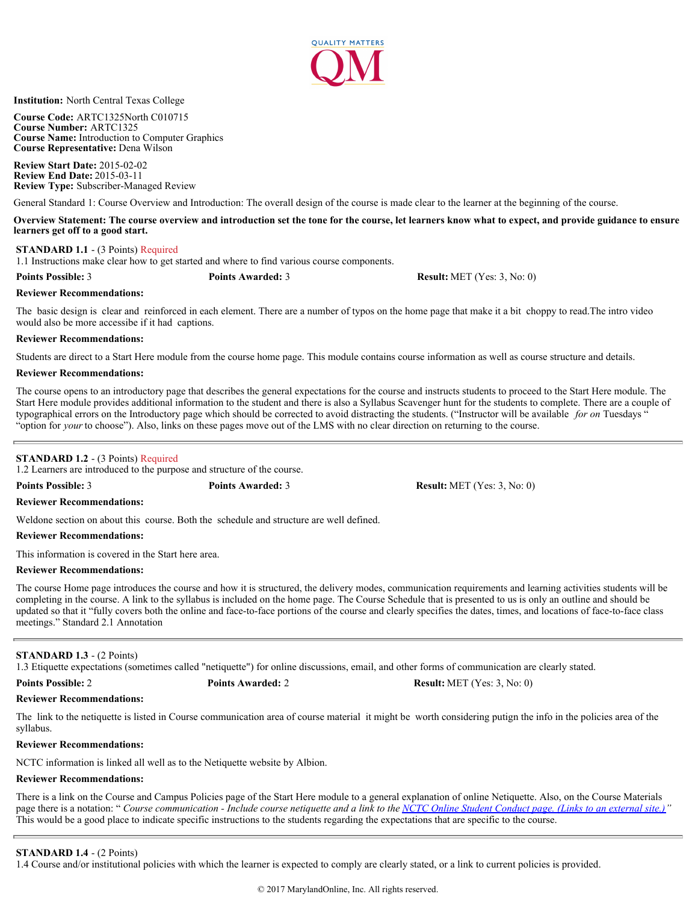

**Institution:** North Central Texas College

**Course Code:** ARTC1325North C010715 **Course Number:** ARTC1325 **Course Name:** Introduction to Computer Graphics **Course Representative:** Dena Wilson

**Review Start Date:** 2015-02-02 **Review End Date:** 2015-03-11 **Review Type:** Subscriber-Managed Review

General Standard 1: Course Overview and Introduction: The overall design of the course is made clear to the learner at the beginning of the course.

**Overview Statement: The course overview and introduction set the tone for the course, let learners know what to expect, and provide guidance to ensure learners get off to a good start.**

## **STANDARD 1.1** - (3 Points) Required

1.1 Instructions make clear how to get started and where to find various course components.

**Points Possible:** 3 **Points Awarded:** 3 **Result:** MET (Yes: 3, No: 0)

## **Reviewer Recommendations:**

The basic design is clear and reinforced in each element. There are a number of typos on the home page that make it a bit choppy to read.The intro video would also be more accessibe if it had captions.

## **Reviewer Recommendations:**

Students are direct to a Start Here module from the course home page. This module contains course information as well as course structure and details.

## **Reviewer Recommendations:**

The course opens to an introductory page that describes the general expectations for the course and instructs students to proceed to the Start Here module. The Start Here module provides additional information to the student and there is also a Syllabus Scavenger hunt for the students to complete. There are a couple of typographical errors on the Introductory page which should be corrected to avoid distracting the students. ("Instructor will be available *for on* Tuesdays " "option for *your* to choose"). Also, links on these pages move out of the LMS with no clear direction on returning to the course.

# **STANDARD 1.2** - (3 Points) Required

1.2 Learners are introduced to the purpose and structure of the course.

**Points Possible:** 3 **Points Awarded:** 3 **Result:** MET (Yes: 3, No: 0)

## **Reviewer Recommendations:**

Weldone section on about this course. Both the schedule and structure are well defined.

### **Reviewer Recommendations:**

This information is covered in the Start here area.

## **Reviewer Recommendations:**

The course Home page introduces the course and how it is structured, the delivery modes, communication requirements and learning activities students will be completing in the course. A link to the syllabus is included on the home page. The Course Schedule that is presented to us is only an outline and should be updated so that it "fully covers both the online and face-to-face portions of the course and clearly specifies the dates, times, and locations of face-to-face class meetings." Standard 2.1 Annotation

## **STANDARD 1.3** - (2 Points)

1.3 Etiquette expectations (sometimes called "netiquette") for online discussions, email, and other forms of communication are clearly stated.

The link to the netiquette is listed in Course communication area of course material it might be worth considering putign the info in the policies area of the syllabus.

## **Reviewer Recommendations:**

**Reviewer Recommendations:**

NCTC information is linked all well as to the Netiquette website by Albion.

# **Reviewer Recommendations:**

There is a link on the Course and Campus Policies page of the Start Here module to a general explanation of online Netiquette. Also, on the Course Materials page there is a notation: " *Course communication - Include course netiquette and a link to the [NCTC Online Student Conduct page. \(Links to an external site.\)](http://cms.nctc.edu/eLearning_Department/Online_Student_Conduct.aspx)*<sup>\*</sup> This would be a good place to indicate specific instructions to the students regarding the expectations that are specific to the course.

# **STANDARD 1.4** - (2 Points)

1.4 Course and/or institutional policies with which the learner is expected to comply are clearly stated, or a link to current policies is provided.

**Points Possible:** 2 **Points Awarded:** 2 **Result:** MET (Yes: 3, No: 0)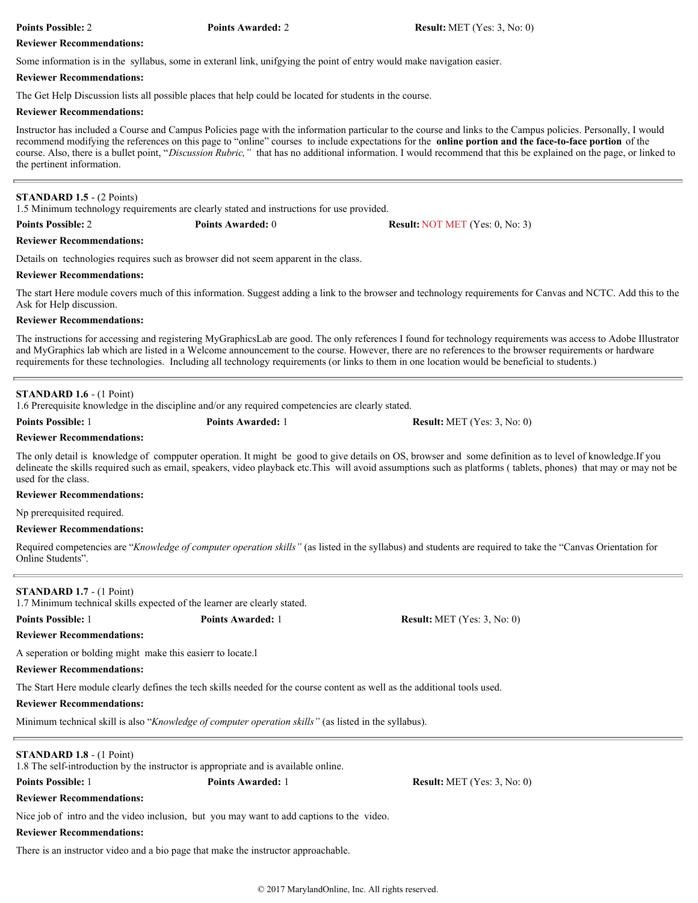Some information is in the syllabus, some in exteranl link, unifgying the point of entry would make navigation easier.

## **Reviewer Recommendations:**

The Get Help Discussion lists all possible places that help could be located for students in the course.

## **Reviewer Recommendations:**

Instructor has included a Course and Campus Policies page with the information particular to the course and links to the Campus policies. Personally, I would recommend modifying the references on this page to "online" courses to include expectations for the **online portion and the face-to-face portion** of the course. Also, there is a bullet point, "*Discussion Rubric,"* that has no additional information. I would recommend that this be explained on the page, or linked to the pertinent information.

## **STANDARD 1.5** - (2 Points)

1.5 Minimum technology requirements are clearly stated and instructions for use provided.

**Reviewer Recommendations:**

Details on technologies requires such as browser did not seem apparent in the class.

## **Reviewer Recommendations:**

The start Here module covers much of this information. Suggest adding a link to the browser and technology requirements for Canvas and NCTC. Add this to the Ask for Help discussion.

## **Reviewer Recommendations:**

The instructions for accessing and registering MyGraphicsLab are good. The only references I found for technology requirements was access to Adobe Illustrator and MyGraphics lab which are listed in a Welcome announcement to the course. However, there are no references to the browser requirements or hardware requirements for these technologies. Including all technology requirements (or links to them in one location would be beneficial to students.)

## **STANDARD 1.6** - (1 Point)

1.6 Prerequisite knowledge in the discipline and/or any required competencies are clearly stated.

**Reviewer Recommendations:**

The only detail is knowledge of compputer operation. It might be good to give details on OS, browser and some definition as to level of knowledge.If you delineate the skills required such as email, speakers, video playback etc.This will avoid assumptions such as platforms ( tablets, phones) that may or may not be used for the class.

## **Reviewer Recommendations:**

Np prerequisited required.

## **Reviewer Recommendations:**

Required competencies are "*Knowledge of computer operation skills"* (as listed in the syllabus) and students are required to take the "Canvas Orientation for Online Students".

# **STANDARD 1.7** - (1 Point)

1.7 Minimum technical skills expected of the learner are clearly stated.

# **Reviewer Recommendations:**

A seperation or bolding might make this easierr to locate.l

# **Reviewer Recommendations:**

The Start Here module clearly defines the tech skills needed for the course content as well as the additional tools used.

# **Reviewer Recommendations:**

Minimum technical skill is also "*Knowledge of computer operation skills"* (as listed in the syllabus).

# **STANDARD 1.8** - (1 Point)

1.8 The self-introduction by the instructor is appropriate and is available online.

Nice job of intro and the video inclusion, but you may want to add captions to the video.

# **Reviewer Recommendations:**

**Reviewer Recommendations:**

There is an instructor video and a bio page that make the instructor approachable.

**Points Possible:** 2 **Points Awarded:** 2 **Result:** MET (Yes: 3, No: 0)

**Points Possible:** 2 **Points Awarded:** 0 **Result:** NOT MET (Yes: 0, No: 3)

**Points Possible:** 1 **Points Awarded:** 1 **Result:** MET (Yes: 3, No: 0)

**Points Possible:** 1 **Points Awarded:** 1 **Result:** MET (Yes: 3, No: 0)

**Points Possible:** 1 **Points Awarded:** 1 **Result:** MET (Yes: 3, No: 0)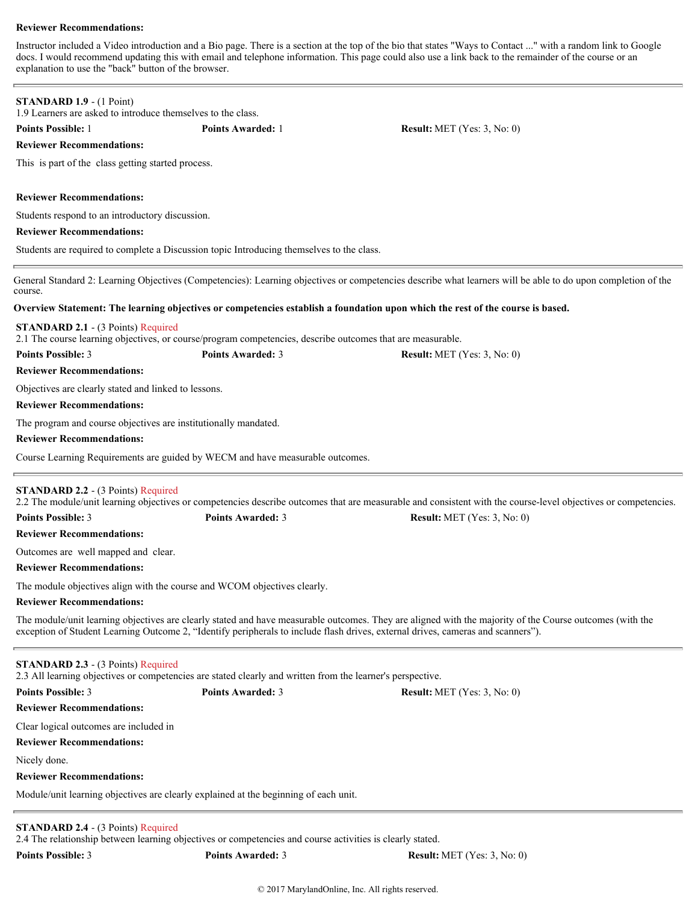Instructor included a Video introduction and a Bio page. There is a section at the top of the bio that states "Ways to Contact ..." with a random link to Google docs. I would recommend updating this with email and telephone information. This page could also use a link back to the remainder of the course or an explanation to use the "back" button of the browser.

# **STANDARD 1.9** - (1 Point) 1.9 Learners are asked to introduce themselves to the class. **Points Possible:** 1 **Points Awarded:** 1 **Result:** MET (Yes: 3, No: 0) **Reviewer Recommendations:** This is part of the class getting started process. **Reviewer Recommendations:** Students respond to an introductory discussion. **Reviewer Recommendations:** Students are required to complete a Discussion topic Introducing themselves to the class. General Standard 2: Learning Objectives (Competencies): Learning objectives or competencies describe what learners will be able to do upon completion of the course. **Overview Statement: The learning objectives or competencies establish a foundation upon which the rest of the course is based. STANDARD 2.1** - (3 Points) Required 2.1 The course learning objectives, or course/program competencies, describe outcomes that are measurable. **Points Possible:** 3 **Points Awarded:** 3 **Result:** MET (Yes: 3, No: 0) **Reviewer Recommendations:** Objectives are clearly stated and linked to lessons. **Reviewer Recommendations:** The program and course objectives are institutionally mandated. **Reviewer Recommendations:** Course Learning Requirements are guided by WECM and have measurable outcomes. **STANDARD 2.2** - (3 Points) Required 2.2 The module/unit learning objectives or competencies describe outcomes that are measurable and consistent with the course-level objectives or competencies. **Points Possible:** 3 **Points Awarded:** 3 **Result:** MET (Yes: 3, No: 0) **Reviewer Recommendations:** Outcomes are well mapped and clear. **Reviewer Recommendations:** The module objectives align with the course and WCOM objectives clearly. **Reviewer Recommendations:** The module/unit learning objectives are clearly stated and have measurable outcomes. They are aligned with the majority of the Course outcomes (with the exception of Student Learning Outcome 2, "Identify peripherals to include flash drives, external drives, cameras and scanners"). **STANDARD 2.3** - (3 Points) Required 2.3 All learning objectives or competencies are stated clearly and written from the learner's perspective. **Points Possible:** 3 **Points Awarded:** 3 **Result:** MET (Yes: 3, No: 0) **Reviewer Recommendations:** Clear logical outcomes are included in **Reviewer Recommendations:** Nicely done. **Reviewer Recommendations:** Module/unit learning objectives are clearly explained at the beginning of each unit. **STANDARD 2.4** - (3 Points) Required

2.4 The relationship between learning objectives or competencies and course activities is clearly stated.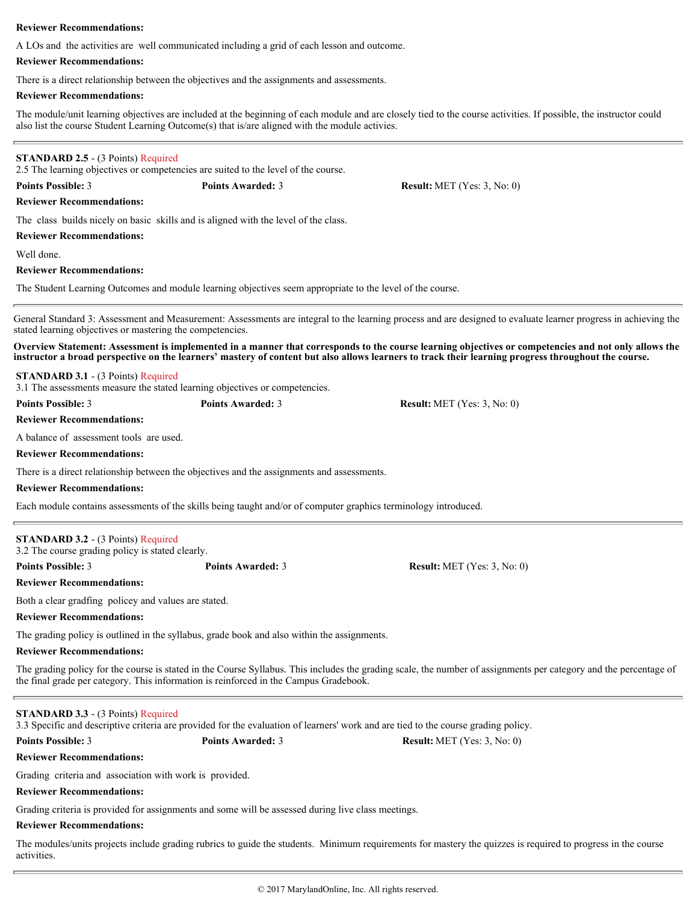A LOs and the activities are well communicated including a grid of each lesson and outcome.

## **Reviewer Recommendations:**

There is a direct relationship between the objectives and the assignments and assessments.

## **Reviewer Recommendations:**

The module/unit learning objectives are included at the beginning of each module and are closely tied to the course activities. If possible, the instructor could also list the course Student Learning Outcome(s) that is/are aligned with the module activies.

## **STANDARD 2.5** - (3 Points) Required

2.5 The learning objectives or competencies are suited to the level of the course.

**Points Possible:** 3 **Points Awarded:** 3 **Result:** MET (Yes: 3, No: 0)

**Reviewer Recommendations:**

The class builds nicely on basic skills and is aligned with the level of the class.

**Reviewer Recommendations:**

Well done.

## **Reviewer Recommendations:**

The Student Learning Outcomes and module learning objectives seem appropriate to the level of the course.

General Standard 3: Assessment and Measurement: Assessments are integral to the learning process and are designed to evaluate learner progress in achieving the stated learning objectives or mastering the competencies.

**Overview Statement: Assessment is implemented in a manner that corresponds to the course learning objectives or competencies and not only allows the instructor a broad perspective on the learners' mastery of content but also allows learners to track their learning progress throughout the course.**

**STANDARD 3.1** - (3 Points) Required

3.1 The assessments measure the stated learning objectives or competencies.

**Points Possible:** 3 **Points Awarded:** 3 **Result:** MET (Yes: 3, No: 0)

## **Reviewer Recommendations:**

A balance of assessment tools are used.

**Reviewer Recommendations:**

There is a direct relationship between the objectives and the assignments and assessments.

## **Reviewer Recommendations:**

Each module contains assessments of the skills being taught and/or of computer graphics terminology introduced.

| <b>STANDARD 3.2</b> - (3 Points) Required        |                   |                                      |
|--------------------------------------------------|-------------------|--------------------------------------|
| 3.2 The course grading policy is stated clearly. |                   |                                      |
| <b>Points Possible: 3</b>                        | Points Awarded: 3 | <b>Result:</b> MET $(Yes: 3, No: 0)$ |

### **Reviewer Recommendations:**

Both a clear gradfing policey and values are stated.

**Reviewer Recommendations:**

The grading policy is outlined in the syllabus, grade book and also within the assignments.

**Reviewer Recommendations:**

The grading policy for the course is stated in the Course Syllabus. This includes the grading scale, the number of assignments per category and the percentage of the final grade per category. This information is reinforced in the Campus Gradebook.

| <b>STANDARD 3.3 - (3 Points) Required</b> |  |
|-------------------------------------------|--|
|-------------------------------------------|--|

3.3 Specific and descriptive criteria are provided for the evaluation of learners' work and are tied to the course grading policy.

**Points Possible:** 3 **Points Awarded:** 3 **Result:** MET (Yes: 3, No: 0)

# **Reviewer Recommendations:**

Grading criteria and association with work is provided.

# **Reviewer Recommendations:**

Grading criteria is provided for assignments and some will be assessed during live class meetings.

# **Reviewer Recommendations:**

The modules/units projects include grading rubrics to guide the students. Minimum requirements for mastery the quizzes is required to progress in the course activities.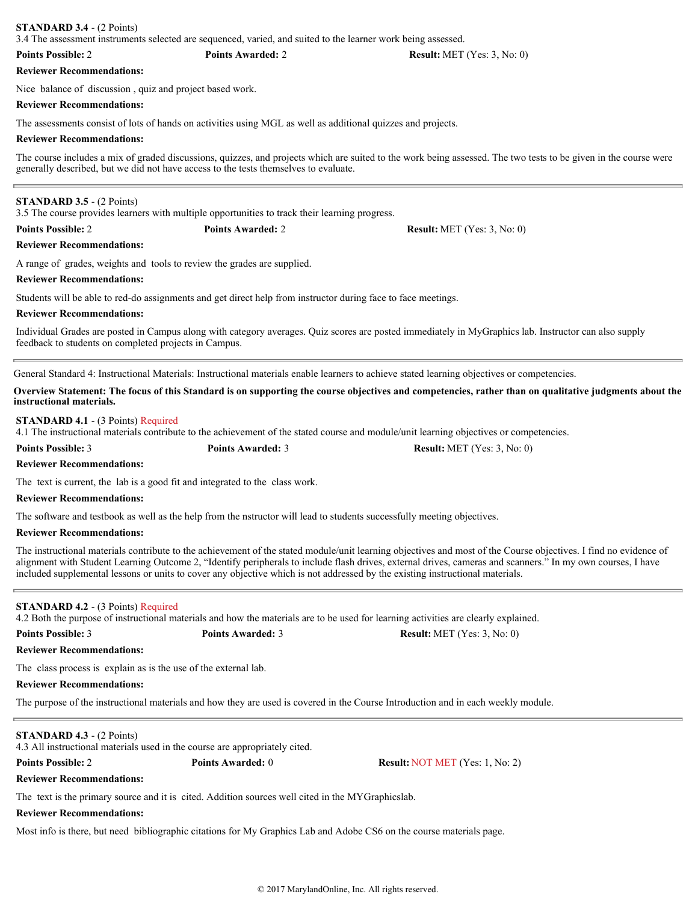# **STANDARD 3.4** - (2 Points)

3.4 The assessment instruments selected are sequenced, varied, and suited to the learner work being assessed.

### **Points Possible:** 2 **Points Awarded:** 2 **Result:** MET (Yes: 3, No: 0)

# **Reviewer Recommendations:**

Nice balance of discussion , quiz and project based work.

# **Reviewer Recommendations:**

The assessments consist of lots of hands on activities using MGL as well as additional quizzes and projects.

# **Reviewer Recommendations:**

The course includes a mix of graded discussions, quizzes, and projects which are suited to the work being assessed. The two tests to be given in the course were generally described, but we did not have access to the tests themselves to evaluate.

# **STANDARD 3.5** - (2 Points)

3.5 The course provides learners with multiple opportunities to track their learning progress.

**Points Possible:** 2 **Points Awarded:** 2 **Result:** MET (Yes: 3, No: 0)

## **Reviewer Recommendations:**

A range of grades, weights and tools to review the grades are supplied.

# **Reviewer Recommendations:**

Students will be able to red-do assignments and get direct help from instructor during face to face meetings.

# **Reviewer Recommendations:**

Individual Grades are posted in Campus along with category averages. Quiz scores are posted immediately in MyGraphics lab. Instructor can also supply feedback to students on completed projects in Campus.

General Standard 4: Instructional Materials: Instructional materials enable learners to achieve stated learning objectives or competencies.

**Overview Statement: The focus of this Standard is on supporting the course objectives and competencies, rather than on qualitative judgments about the instructional materials.**

# **STANDARD 4.1** - (3 Points) Required

4.1 The instructional materials contribute to the achievement of the stated course and module/unit learning objectives or competencies.

**Points Possible:** 3 **Points Awarded:** 3 **Result:** MET (Yes: 3, No: 0)

# **Reviewer Recommendations:**

The text is current, the lab is a good fit and integrated to the class work.

# **Reviewer Recommendations:**

The software and testbook as well as the help from the nstructor will lead to students successfully meeting objectives.

# **Reviewer Recommendations:**

The instructional materials contribute to the achievement of the stated module/unit learning objectives and most of the Course objectives. I find no evidence of alignment with Student Learning Outcome 2, "Identify peripherals to include flash drives, external drives, cameras and scanners." In my own courses, I have included supplemental lessons or units to cover any objective which is not addressed by the existing instructional materials.

# **STANDARD 4.2** - (3 Points) Required

4.2 Both the purpose of instructional materials and how the materials are to be used for learning activities are clearly explained.

# **Points Possible:** 3 **Points Awarded:** 3 **Result:** MET (Yes: 3, No: 0)

**Reviewer Recommendations:**

The class process is explain as is the use of the external lab.

# **Reviewer Recommendations:**

The purpose of the instructional materials and how they are used is covered in the Course Introduction and in each weekly module.

# **STANDARD 4.3** - (2 Points)

4.3 All instructional materials used in the course are appropriately cited.

**Points Possible:** 2 **Points Awarded:** 0 **Result:** NOT MET (Yes: 1, No: 2)

# **Reviewer Recommendations:**

The text is the primary source and it is cited. Addition sources well cited in the MYGraphicslab.

# **Reviewer Recommendations:**

Most info is there, but need bibliographic citations for My Graphics Lab and Adobe CS6 on the course materials page.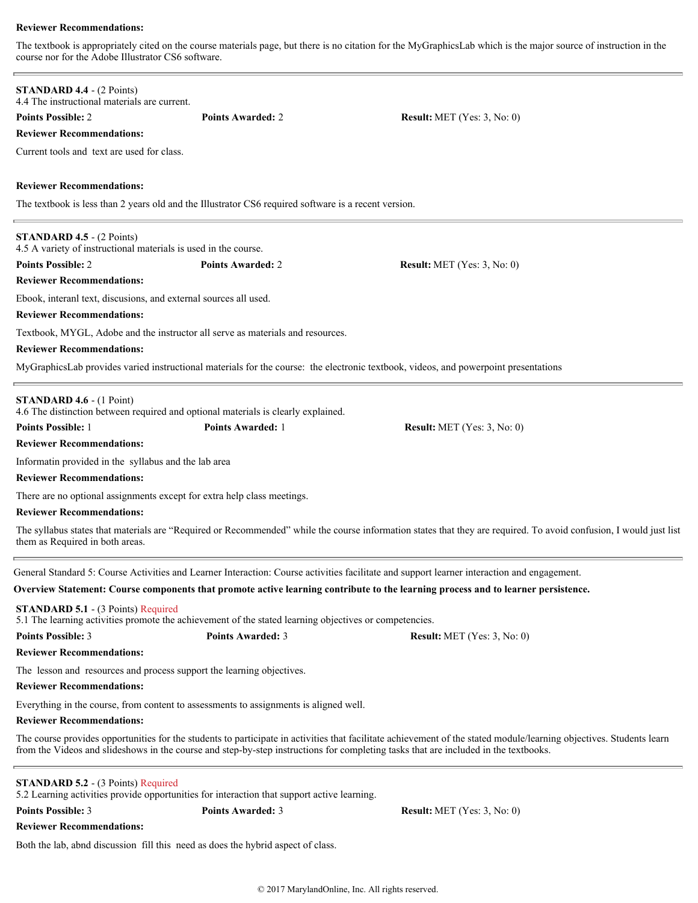The textbook is appropriately cited on the course materials page, but there is no citation for the MyGraphicsLab which is the major source of instruction in the course nor for the Adobe Illustrator CS6 software.

| <b>STANDARD 4.4 - (2 Points)</b><br>4.4 The instructional materials are current.                                                                    |                          |                                                                                                                                                                                                                                                                                                             |
|-----------------------------------------------------------------------------------------------------------------------------------------------------|--------------------------|-------------------------------------------------------------------------------------------------------------------------------------------------------------------------------------------------------------------------------------------------------------------------------------------------------------|
| <b>Points Possible: 2</b>                                                                                                                           | <b>Points Awarded: 2</b> | <b>Result:</b> MET (Yes: $3$ , No: 0)                                                                                                                                                                                                                                                                       |
| <b>Reviewer Recommendations:</b>                                                                                                                    |                          |                                                                                                                                                                                                                                                                                                             |
| Current tools and text are used for class.                                                                                                          |                          |                                                                                                                                                                                                                                                                                                             |
|                                                                                                                                                     |                          |                                                                                                                                                                                                                                                                                                             |
| <b>Reviewer Recommendations:</b>                                                                                                                    |                          |                                                                                                                                                                                                                                                                                                             |
| The textbook is less than 2 years old and the Illustrator CS6 required software is a recent version.                                                |                          |                                                                                                                                                                                                                                                                                                             |
|                                                                                                                                                     |                          |                                                                                                                                                                                                                                                                                                             |
| <b>STANDARD 4.5 - (2 Points)</b><br>4.5 A variety of instructional materials is used in the course.                                                 |                          |                                                                                                                                                                                                                                                                                                             |
| <b>Points Possible: 2</b>                                                                                                                           | <b>Points Awarded: 2</b> | <b>Result:</b> MET (Yes: $3$ , No: 0)                                                                                                                                                                                                                                                                       |
| <b>Reviewer Recommendations:</b>                                                                                                                    |                          |                                                                                                                                                                                                                                                                                                             |
| Ebook, interanl text, discusions, and external sources all used.                                                                                    |                          |                                                                                                                                                                                                                                                                                                             |
| <b>Reviewer Recommendations:</b>                                                                                                                    |                          |                                                                                                                                                                                                                                                                                                             |
| Textbook, MYGL, Adobe and the instructor all serve as materials and resources.<br><b>Reviewer Recommendations:</b>                                  |                          |                                                                                                                                                                                                                                                                                                             |
|                                                                                                                                                     |                          | MyGraphicsLab provides varied instructional materials for the course: the electronic textbook, videos, and powerpoint presentations                                                                                                                                                                         |
|                                                                                                                                                     |                          |                                                                                                                                                                                                                                                                                                             |
| STANDARD 4.6 - (1 Point)<br>4.6 The distinction between required and optional materials is clearly explained.                                       |                          |                                                                                                                                                                                                                                                                                                             |
| <b>Points Possible: 1</b>                                                                                                                           | <b>Points Awarded: 1</b> | <b>Result:</b> MET (Yes: $3$ , No: 0)                                                                                                                                                                                                                                                                       |
| <b>Reviewer Recommendations:</b>                                                                                                                    |                          |                                                                                                                                                                                                                                                                                                             |
| Informatin provided in the syllabus and the lab area                                                                                                |                          |                                                                                                                                                                                                                                                                                                             |
| <b>Reviewer Recommendations:</b>                                                                                                                    |                          |                                                                                                                                                                                                                                                                                                             |
| There are no optional assignments except for extra help class meetings.                                                                             |                          |                                                                                                                                                                                                                                                                                                             |
| <b>Reviewer Recommendations:</b>                                                                                                                    |                          |                                                                                                                                                                                                                                                                                                             |
| them as Required in both areas.                                                                                                                     |                          | The syllabus states that materials are "Required or Recommended" while the course information states that they are required. To avoid confusion, I would just list                                                                                                                                          |
|                                                                                                                                                     |                          | General Standard 5: Course Activities and Learner Interaction: Course activities facilitate and support learner interaction and engagement.                                                                                                                                                                 |
|                                                                                                                                                     |                          | Overview Statement: Course components that promote active learning contribute to the learning process and to learner persistence.                                                                                                                                                                           |
| <b>STANDARD 5.1 - (3 Points) Required</b><br>5.1 The learning activities promote the achievement of the stated learning objectives or competencies. |                          |                                                                                                                                                                                                                                                                                                             |
| <b>Points Possible: 3</b>                                                                                                                           | <b>Points Awarded: 3</b> | <b>Result:</b> MET (Yes: $3$ , No: 0)                                                                                                                                                                                                                                                                       |
| <b>Reviewer Recommendations:</b>                                                                                                                    |                          |                                                                                                                                                                                                                                                                                                             |
| The lesson and resources and process support the learning objectives.                                                                               |                          |                                                                                                                                                                                                                                                                                                             |
| <b>Reviewer Recommendations:</b>                                                                                                                    |                          |                                                                                                                                                                                                                                                                                                             |
| Everything in the course, from content to assessments to assignments is aligned well.                                                               |                          |                                                                                                                                                                                                                                                                                                             |
| <b>Reviewer Recommendations:</b>                                                                                                                    |                          |                                                                                                                                                                                                                                                                                                             |
|                                                                                                                                                     |                          | The course provides opportunities for the students to participate in activities that facilitate achievement of the stated module/learning objectives. Students learn<br>from the Videos and slideshows in the course and step-by-step instructions for completing tasks that are included in the textbooks. |
| <b>STANDARD 5.2 - (3 Points) Required</b><br>5.2 Learning activities provide opportunities for interaction that support active learning.            |                          |                                                                                                                                                                                                                                                                                                             |
| <b>Points Possible: 3</b>                                                                                                                           | <b>Points Awarded: 3</b> | <b>Result:</b> MET (Yes: $3$ , No: 0)                                                                                                                                                                                                                                                                       |
| <b>Reviewer Recommendations:</b>                                                                                                                    |                          |                                                                                                                                                                                                                                                                                                             |
| Both the lab, abnd discussion fill this need as does the hybrid aspect of class.                                                                    |                          |                                                                                                                                                                                                                                                                                                             |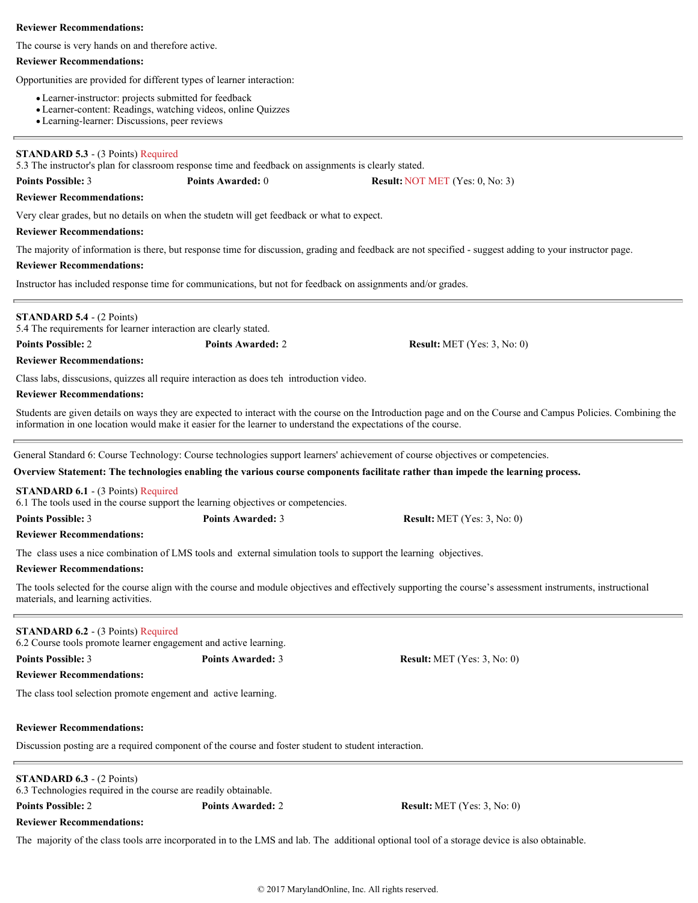The course is very hands on and therefore active.

## **Reviewer Recommendations:**

Opportunities are provided for different types of learner interaction:

- Learner-instructor: projects submitted for feedback
- Learner-content: Readings, watching videos, online Quizzes
- Learning-learner: Discussions, peer reviews

## **STANDARD 5.3** - (3 Points) Required

5.3 The instructor's plan for classroom response time and feedback on assignments is clearly stated.

# **Points Possible:** 3 **Points Awarded:** 0 **Result:** NOT MET (Yes: 0, No: 3)

**Reviewer Recommendations:**

Very clear grades, but no details on when the studetn will get feedback or what to expect.

## **Reviewer Recommendations:**

The majority of information is there, but response time for discussion, grading and feedback are not specified - suggest adding to your instructor page.

## **Reviewer Recommendations:**

Instructor has included response time for communications, but not for feedback on assignments and/or grades.

## **STANDARD 5.4** - (2 Points)

5.4 The requirements for learner interaction are clearly stated.

**Points Possible:** 2 **Points Awarded:** 2 **Result:** MET (Yes: 3, No: 0)

## **Reviewer Recommendations:**

Class labs, disscusions, quizzes all require interaction as does teh introduction video.

## **Reviewer Recommendations:**

Students are given details on ways they are expected to interact with the course on the Introduction page and on the Course and Campus Policies. Combining the information in one location would make it easier for the learner to understand the expectations of the course.

General Standard 6: Course Technology: Course technologies support learners' achievement of course objectives or competencies.

## **Overview Statement: The technologies enabling the various course components facilitate rather than impede the learning process.**

## **STANDARD 6.1** - (3 Points) Required

6.1 The tools used in the course support the learning objectives or competencies.

| <b>Points Possible: 3</b> | <b>Points Awarded: 3</b> | <b>Result:</b> MET (Yes: $3$ , No: 0) |
|---------------------------|--------------------------|---------------------------------------|
|                           |                          |                                       |

## **Reviewer Recommendations:**

The class uses a nice combination of LMS tools and external simulation tools to support the learning objectives.

## **Reviewer Recommendations:**

The tools selected for the course align with the course and module objectives and effectively supporting the course's assessment instruments, instructional materials, and learning activities.

# **STANDARD 6.2** - (3 Points) Required

6.2 Course tools promote learner engagement and active learning.

**Points Possible:** 3 **Points Awarded:** 3 **Result:** MET (Yes: 3, No: 0)

**Reviewer Recommendations:**

The class tool selection promote engement and active learning.

# **Reviewer Recommendations:**

Discussion posting are a required component of the course and foster student to student interaction.

# **STANDARD 6.3** - (2 Points)

6.3 Technologies required in the course are readily obtainable.

**Points Possible:** 2 **Points Awarded:** 2 **Result:** MET (Yes: 3, No: 0)

**Reviewer Recommendations:**

The majority of the class tools arre incorporated in to the LMS and lab. The additional optional tool of a storage device is also obtainable.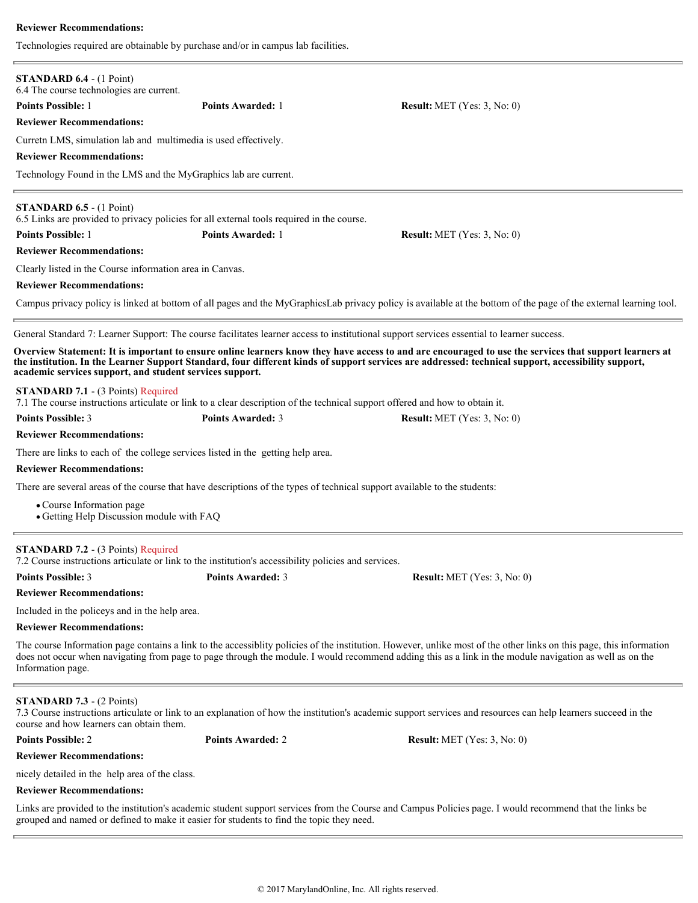Technologies required are obtainable by purchase and/or in campus lab facilities.

| <b>STANDARD 6.4 - (1 Point)</b><br>6.4 The course technologies are current.                                                                                                    |                          |                                                                                                                                                                                                                                                                                                                                 |
|--------------------------------------------------------------------------------------------------------------------------------------------------------------------------------|--------------------------|---------------------------------------------------------------------------------------------------------------------------------------------------------------------------------------------------------------------------------------------------------------------------------------------------------------------------------|
| <b>Points Possible: 1</b>                                                                                                                                                      | <b>Points Awarded: 1</b> | <b>Result:</b> MET (Yes: 3, No: 0)                                                                                                                                                                                                                                                                                              |
| <b>Reviewer Recommendations:</b>                                                                                                                                               |                          |                                                                                                                                                                                                                                                                                                                                 |
| Curretn LMS, simulation lab and multimedia is used effectively.                                                                                                                |                          |                                                                                                                                                                                                                                                                                                                                 |
| <b>Reviewer Recommendations:</b>                                                                                                                                               |                          |                                                                                                                                                                                                                                                                                                                                 |
| Technology Found in the LMS and the MyGraphics lab are current.                                                                                                                |                          |                                                                                                                                                                                                                                                                                                                                 |
| <b>STANDARD 6.5</b> - $(1 \text{ Point})$<br>6.5 Links are provided to privacy policies for all external tools required in the course.                                         |                          |                                                                                                                                                                                                                                                                                                                                 |
| <b>Points Possible: 1</b>                                                                                                                                                      | <b>Points Awarded: 1</b> | <b>Result:</b> MET (Yes: $3$ , No: 0)                                                                                                                                                                                                                                                                                           |
| <b>Reviewer Recommendations:</b>                                                                                                                                               |                          |                                                                                                                                                                                                                                                                                                                                 |
| Clearly listed in the Course information area in Canvas.                                                                                                                       |                          |                                                                                                                                                                                                                                                                                                                                 |
| <b>Reviewer Recommendations:</b>                                                                                                                                               |                          |                                                                                                                                                                                                                                                                                                                                 |
|                                                                                                                                                                                |                          | Campus privacy policy is linked at bottom of all pages and the MyGraphicsLab privacy policy is available at the bottom of the page of the external learning tool.                                                                                                                                                               |
|                                                                                                                                                                                |                          | General Standard 7: Learner Support: The course facilitates learner access to institutional support services essential to learner success.                                                                                                                                                                                      |
| academic services support, and student services support.                                                                                                                       |                          | Overview Statement: It is important to ensure online learners know they have access to and are encouraged to use the services that support learners at<br>the institution. In the Learner Support Standard, four different kinds of support services are addressed: technical support, accessibility support,                   |
| <b>STANDARD 7.1 - (3 Points) Required</b>                                                                                                                                      |                          | 7.1 The course instructions articulate or link to a clear description of the technical support offered and how to obtain it.                                                                                                                                                                                                    |
| <b>Points Possible: 3</b>                                                                                                                                                      | <b>Points Awarded: 3</b> | <b>Result:</b> MET (Yes: $3$ , No: 0)                                                                                                                                                                                                                                                                                           |
| <b>Reviewer Recommendations:</b>                                                                                                                                               |                          |                                                                                                                                                                                                                                                                                                                                 |
| There are links to each of the college services listed in the getting help area.                                                                                               |                          |                                                                                                                                                                                                                                                                                                                                 |
| <b>Reviewer Recommendations:</b>                                                                                                                                               |                          |                                                                                                                                                                                                                                                                                                                                 |
|                                                                                                                                                                                |                          | There are several areas of the course that have descriptions of the types of technical support available to the students:                                                                                                                                                                                                       |
| • Course Information page<br>• Getting Help Discussion module with FAQ                                                                                                         |                          |                                                                                                                                                                                                                                                                                                                                 |
| <b>STANDARD 7.2 - (3 Points) Required</b><br>7.2 Course instructions articulate or link to the institution's accessibility policies and services.<br><b>Points Possible: 3</b> | <b>Points Awarded: 3</b> | <b>Result:</b> MET (Yes: $3$ , No: 0)                                                                                                                                                                                                                                                                                           |
| <b>Reviewer Recommendations:</b>                                                                                                                                               |                          |                                                                                                                                                                                                                                                                                                                                 |
| Included in the policeys and in the help area.                                                                                                                                 |                          |                                                                                                                                                                                                                                                                                                                                 |
| <b>Reviewer Recommendations:</b><br>Information page.                                                                                                                          |                          | The course Information page contains a link to the accessibility policies of the institution. However, unlike most of the other links on this page, this information<br>does not occur when navigating from page to page through the module. I would recommend adding this as a link in the module navigation as well as on the |
| <b>STANDARD 7.3 - (2 Points)</b><br>course and how learners can obtain them.                                                                                                   |                          | 7.3 Course instructions articulate or link to an explanation of how the institution's academic support services and resources can help learners succeed in the                                                                                                                                                                  |
| <b>Points Possible: 2</b>                                                                                                                                                      | <b>Points Awarded: 2</b> | <b>Result:</b> MET (Yes: $3$ , No: 0)                                                                                                                                                                                                                                                                                           |
| <b>Reviewer Recommendations:</b>                                                                                                                                               |                          |                                                                                                                                                                                                                                                                                                                                 |
| nicely detailed in the help area of the class.                                                                                                                                 |                          |                                                                                                                                                                                                                                                                                                                                 |
| <b>Reviewer Recommendations:</b>                                                                                                                                               |                          |                                                                                                                                                                                                                                                                                                                                 |
| grouped and named or defined to make it easier for students to find the topic they need.                                                                                       |                          | Links are provided to the institution's academic student support services from the Course and Campus Policies page. I would recommend that the links be                                                                                                                                                                         |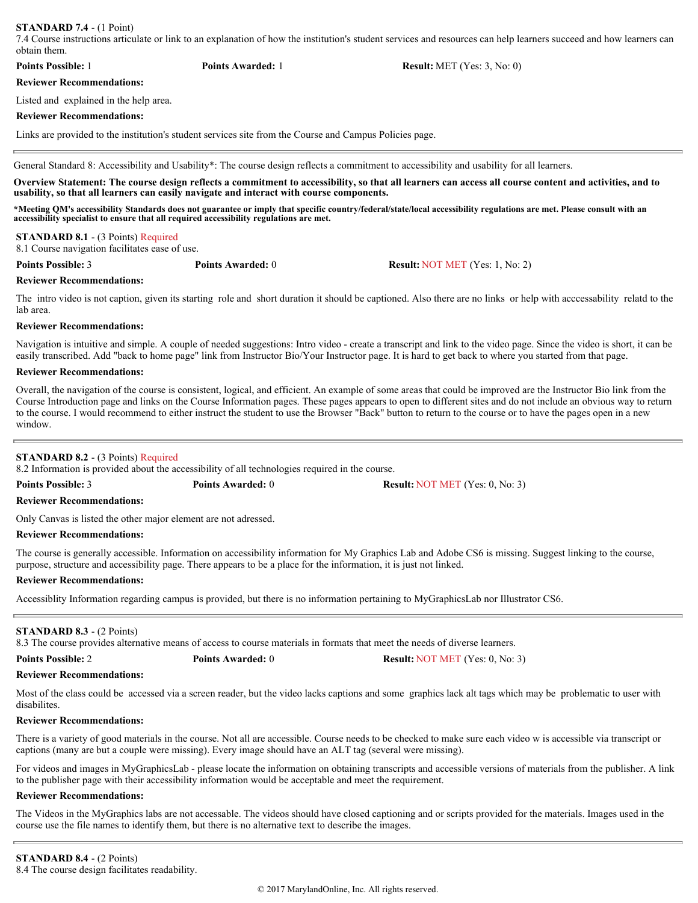## **STANDARD 7.4** - (1 Point)

7.4 Course instructions articulate or link to an explanation of how the institution's student services and resources can help learners succeed and how learners can obtain them.

| <b>Points Possible: 1</b>        | <b>Points Awarded:</b> 1 | <b>Result:</b> MET (Yes: $3$ , No: 0) |
|----------------------------------|--------------------------|---------------------------------------|
| <b>Reviewer Recommendations:</b> |                          |                                       |

Listed and explained in the help area.

## **Reviewer Recommendations:**

Links are provided to the institution's student services site from the Course and Campus Policies page.

General Standard 8: Accessibility and Usability\*: The course design reflects a commitment to accessibility and usability for all learners.

**Overview Statement: The course design reflects a commitment to accessibility, so that all learners can access all course content and activities, and to usability, so that all learners can easily navigate and interact with course components.** 

**\*Meeting QM's accessibility Standards does not guarantee or imply that specific country/federal/state/local accessibility regulations are met. Please consult with an accessibility specialist to ensure that all required accessibility regulations are met.**

## **STANDARD 8.1** - (3 Points) Required

8.1 Course navigation facilitates ease of use.

**Points Possible:** 3 **Points Awarded:** 0 **Result:** NOT MET (Yes: 1, No: 2)

## **Reviewer Recommendations:**

The intro video is not caption, given its starting role and short duration it should be captioned. Also there are no links or help with acccessability relatd to the lab area.

# **Reviewer Recommendations:**

Navigation is intuitive and simple. A couple of needed suggestions: Intro video - create a transcript and link to the video page. Since the video is short, it can be easily transcribed. Add "back to home page" link from Instructor Bio/Your Instructor page. It is hard to get back to where you started from that page.

## **Reviewer Recommendations:**

Overall, the navigation of the course is consistent, logical, and efficient. An example of some areas that could be improved are the Instructor Bio link from the Course Introduction page and links on the Course Information pages. These pages appears to open to different sites and do not include an obvious way to return to the course. I would recommend to either instruct the student to use the Browser "Back" button to return to the course or to have the pages open in a new window.

# **STANDARD 8.2** - (3 Points) Required

8.2 Information is provided about the accessibility of all technologies required in the course.

**Points Possible:** 3 **Points Awarded:** 0 **Result:** NOT MET (Yes: 0, No: 3)

## **Reviewer Recommendations:**

Only Canvas is listed the other major element are not adressed.

## **Reviewer Recommendations:**

The course is generally accessible. Information on accessibility information for My Graphics Lab and Adobe CS6 is missing. Suggest linking to the course, purpose, structure and accessibility page. There appears to be a place for the information, it is just not linked.

## **Reviewer Recommendations:**

Accessiblity Information regarding campus is provided, but there is no information pertaining to MyGraphicsLab nor Illustrator CS6.

## **STANDARD 8.3** - (2 Points)

8.3 The course provides alternative means of access to course materials in formats that meet the needs of diverse learners.

| <b>Points Possible: 2</b> |  |
|---------------------------|--|
|---------------------------|--|

**Points Awarded:** 0 **Result:** NOT MET (Yes: 0, No: 3)

## **Reviewer Recommendations:**

Most of the class could be accessed via a screen reader, but the video lacks captions and some graphics lack alt tags which may be problematic to user with disabilites.

## **Reviewer Recommendations:**

There is a variety of good materials in the course. Not all are accessible. Course needs to be checked to make sure each video w is accessible via transcript or captions (many are but a couple were missing). Every image should have an ALT tag (several were missing).

For videos and images in MyGraphicsLab - please locate the information on obtaining transcripts and accessible versions of materials from the publisher. A link to the publisher page with their accessibility information would be acceptable and meet the requirement.

## **Reviewer Recommendations:**

The Videos in the MyGraphics labs are not accessable. The videos should have closed captioning and or scripts provided for the materials. Images used in the course use the file names to identify them, but there is no alternative text to describe the images.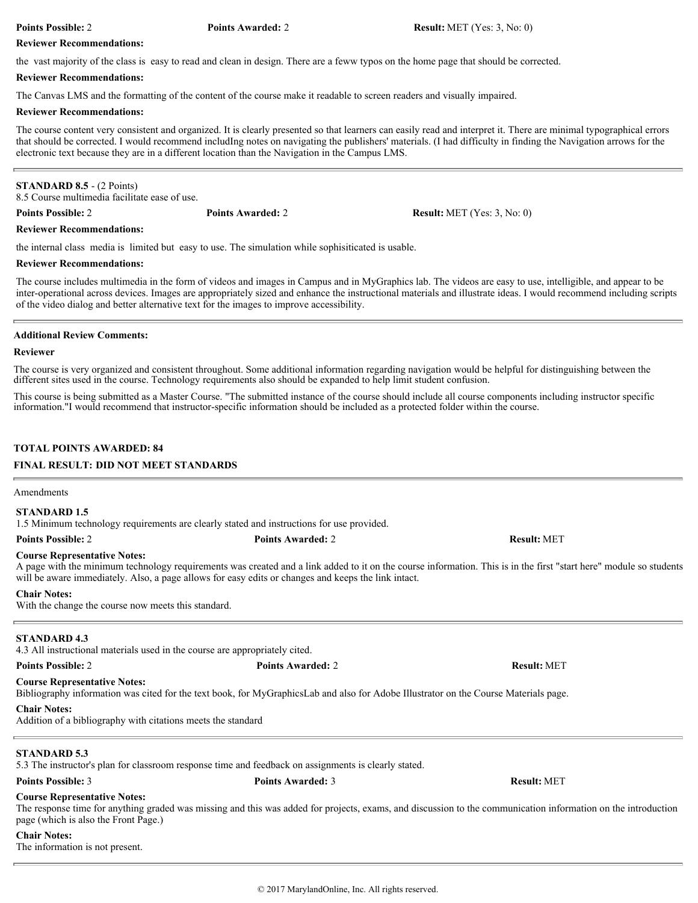**Points Possible:** 2 **Points Awarded:** 2 **Result:** MET (Yes: 3, No: 0)

## **Reviewer Recommendations:**

the vast majority of the class is easy to read and clean in design. There are a feww typos on the home page that should be corrected.

## **Reviewer Recommendations:**

The Canvas LMS and the formatting of the content of the course make it readable to screen readers and visually impaired.

## **Reviewer Recommendations:**

The course content very consistent and organized. It is clearly presented so that learners can easily read and interpret it. There are minimal typographical errors that should be corrected. I would recommend includIng notes on navigating the publishers' materials. (I had difficulty in finding the Navigation arrows for the electronic text because they are in a different location than the Navigation in the Campus LMS.

# **STANDARD 8.5** - (2 Points)

8.5 Course multimedia facilitate ease of use.

**Points Possible:** 2 **Points Awarded:** 2 **Result:** MET (Yes: 3, No: 0)

# **Reviewer Recommendations:**

the internal class media is limited but easy to use. The simulation while sophisiticated is usable.

## **Reviewer Recommendations:**

The course includes multimedia in the form of videos and images in Campus and in MyGraphics lab. The videos are easy to use, intelligible, and appear to be inter-operational across devices. Images are appropriately sized and enhance the instructional materials and illustrate ideas. I would recommend including scripts of the video dialog and better alternative text for the images to improve accessibility.

## **Additional Review Comments:**

## **Reviewer**

The course is very organized and consistent throughout. Some additional information regarding navigation would be helpful for distinguishing between the different sites used in the course. Technology requirements also should be expanded to help limit student confusion.

This course is being submitted as a Master Course. "The submitted instance of the course should include all course components including instructor specific information."I would recommend that instructor-specific information should be included as a protected folder within the course.

# **TOTAL POINTS AWARDED: 84**

# **FINAL RESULT: DID NOT MEET STANDARDS**

## Amendments

# **STANDARD 1.5**

1.5 Minimum technology requirements are clearly stated and instructions for use provided.

**Points Possible:** 2 **Points Awarded:** 2 **Result:** MET

## **Course Representative Notes:**

A page with the minimum technology requirements was created and a link added to it on the course information. This is in the first "start here" module so students will be aware immediately. Also, a page allows for easy edits or changes and keeps the link intact.

## **Chair Notes:**

With the change the course now meets this standard.

# **STANDARD 4.3**

4.3 All instructional materials used in the course are appropriately cited.

**Points Possible:** 2 **Points Awarded:** 2 **Result:** MET

**Course Representative Notes:** Bibliography information was cited for the text book, for MyGraphicsLab and also for Adobe Illustrator on the Course Materials page.

# **Chair Notes:**

Addition of a bibliography with citations meets the standard

# **STANDARD 5.3**

5.3 The instructor's plan for classroom response time and feedback on assignments is clearly stated.

# **Course Representative Notes:**

The response time for anything graded was missing and this was added for projects, exams, and discussion to the communication information on the introduction page (which is also the Front Page.)

# **Chair Notes:**

The information is not present.

**Points Possible:** 3 **Points Awarded:** 3 **Result:** MET